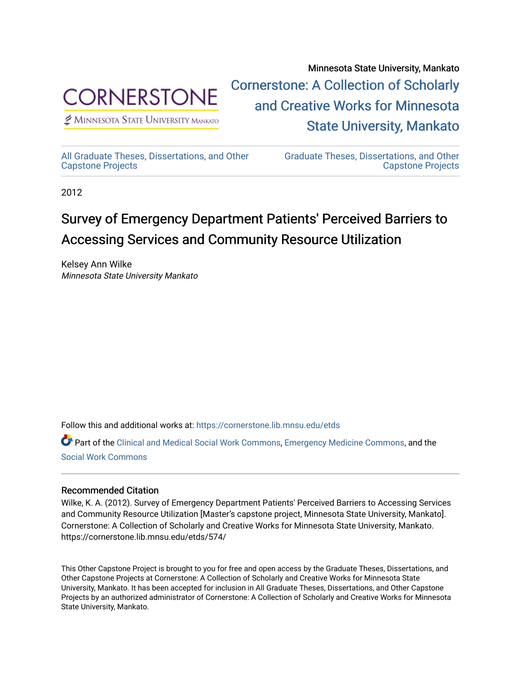

 $\n *P* MINNESOTA STATE UNIVERSITY MANKATO\n$ 

Minnesota State University, Mankato [Cornerstone: A Collection of Scholarly](https://cornerstone.lib.mnsu.edu/)  [and Creative Works for Minnesota](https://cornerstone.lib.mnsu.edu/)  [State University, Mankato](https://cornerstone.lib.mnsu.edu/) 

[All Graduate Theses, Dissertations, and Other](https://cornerstone.lib.mnsu.edu/etds)  [Capstone Projects](https://cornerstone.lib.mnsu.edu/etds) 

[Graduate Theses, Dissertations, and Other](https://cornerstone.lib.mnsu.edu/theses_dissertations-capstone)  [Capstone Projects](https://cornerstone.lib.mnsu.edu/theses_dissertations-capstone) 

2012

### Survey of Emergency Department Patients' Perceived Barriers to Accessing Services and Community Resource Utilization

Kelsey Ann Wilke Minnesota State University Mankato

Follow this and additional works at: [https://cornerstone.lib.mnsu.edu/etds](https://cornerstone.lib.mnsu.edu/etds?utm_source=cornerstone.lib.mnsu.edu%2Fetds%2F574&utm_medium=PDF&utm_campaign=PDFCoverPages) 

Part of the [Clinical and Medical Social Work Commons,](http://network.bepress.com/hgg/discipline/712?utm_source=cornerstone.lib.mnsu.edu%2Fetds%2F574&utm_medium=PDF&utm_campaign=PDFCoverPages) [Emergency Medicine Commons](http://network.bepress.com/hgg/discipline/685?utm_source=cornerstone.lib.mnsu.edu%2Fetds%2F574&utm_medium=PDF&utm_campaign=PDFCoverPages), and the [Social Work Commons](http://network.bepress.com/hgg/discipline/713?utm_source=cornerstone.lib.mnsu.edu%2Fetds%2F574&utm_medium=PDF&utm_campaign=PDFCoverPages)

### Recommended Citation

Wilke, K. A. (2012). Survey of Emergency Department Patients' Perceived Barriers to Accessing Services and Community Resource Utilization [Master's capstone project, Minnesota State University, Mankato]. Cornerstone: A Collection of Scholarly and Creative Works for Minnesota State University, Mankato. https://cornerstone.lib.mnsu.edu/etds/574/

This Other Capstone Project is brought to you for free and open access by the Graduate Theses, Dissertations, and Other Capstone Projects at Cornerstone: A Collection of Scholarly and Creative Works for Minnesota State University, Mankato. It has been accepted for inclusion in All Graduate Theses, Dissertations, and Other Capstone Projects by an authorized administrator of Cornerstone: A Collection of Scholarly and Creative Works for Minnesota State University, Mankato.